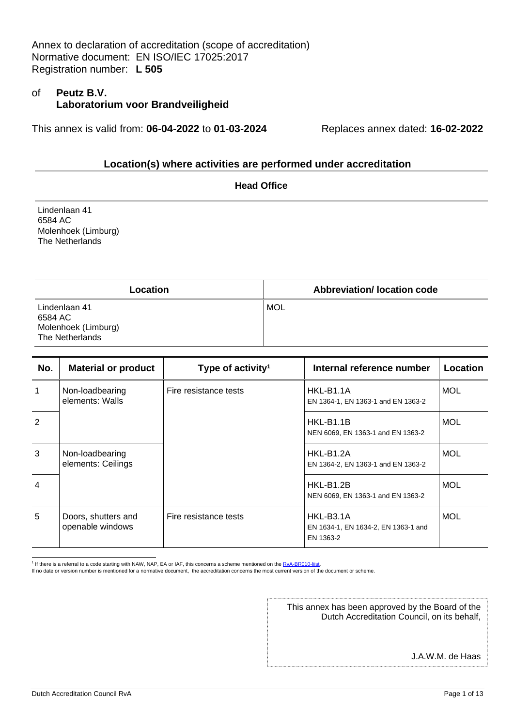#### of **Peutz B.V. Laboratorium voor Brandveiligheid**

This annex is valid from: **06-04-2022** to **01-03-2024** Replaces annex dated: **16-02-2022**

#### **Location(s) where activities are performed under accreditation**

|                                                                    | <b>Head Office</b> |
|--------------------------------------------------------------------|--------------------|
| Lindenlaan 41<br>6584 AC<br>Molenhoek (Limburg)<br>The Netherlands |                    |
|                                                                    |                    |

| Location                                                           | <b>Abbreviation/ location code</b> |
|--------------------------------------------------------------------|------------------------------------|
| Lindenlaan 41<br>6584 AC<br>Molenhoek (Limburg)<br>The Netherlands | <b>MOL</b>                         |

| No.            | <b>Material or product</b>              | Type of activity <sup>1</sup> | Internal reference number                                     | Location   |
|----------------|-----------------------------------------|-------------------------------|---------------------------------------------------------------|------------|
| 1              | Non-loadbearing<br>elements: Walls      | Fire resistance tests         | HKL-B1.1A<br>EN 1364-1, EN 1363-1 and EN 1363-2               | <b>MOL</b> |
| $\mathcal{P}$  |                                         |                               | HKL-B1.1B<br>NEN 6069, EN 1363-1 and EN 1363-2                | <b>MOL</b> |
| 3              | Non-loadbearing<br>elements: Ceilings   |                               | HKL-B1.2A<br>EN 1364-2, EN 1363-1 and EN 1363-2               | <b>MOL</b> |
| $\overline{4}$ |                                         |                               | HKL-B1.2B<br>NEN 6069, EN 1363-1 and EN 1363-2                | <b>MOL</b> |
| 5              | Doors, shutters and<br>openable windows | Fire resistance tests         | HKL-B3.1A<br>EN 1634-1, EN 1634-2, EN 1363-1 and<br>EN 1363-2 | <b>MOL</b> |

<sup>1</sup> If there is a referral to a code starting with NAW, NAP, EA or IAF, this concerns a scheme mentioned on the RvA-BR010-lijst.

If no date or version number is mentioned for a normative document, the accreditation concerns the most current version of the document or scheme.

This annex has been approved by the Board of the Dutch Accreditation Council, on its behalf,

J.A.W.M. de Haas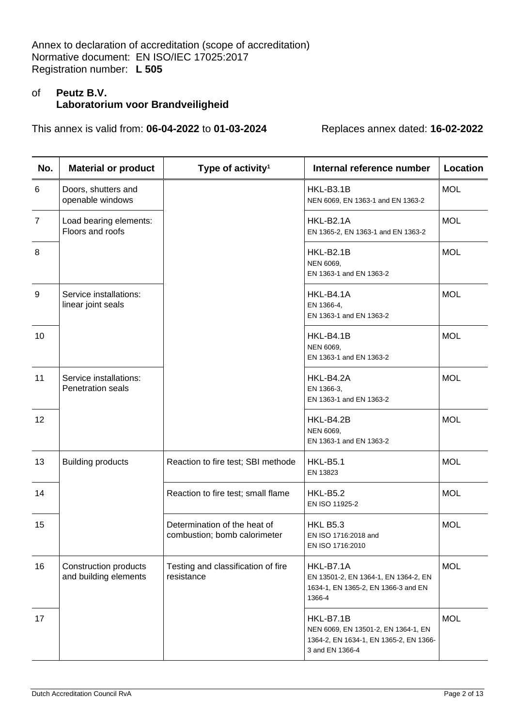# of **Peutz B.V. Laboratorium voor Brandveiligheid**

| No.            | <b>Material or product</b>                         | Type of activity <sup>1</sup>                                | Internal reference number                                                                                     | Location   |
|----------------|----------------------------------------------------|--------------------------------------------------------------|---------------------------------------------------------------------------------------------------------------|------------|
| 6              | Doors, shutters and<br>openable windows            |                                                              | HKL-B3.1B<br>NEN 6069, EN 1363-1 and EN 1363-2                                                                | <b>MOL</b> |
| $\overline{7}$ | Load bearing elements:<br>Floors and roofs         |                                                              | HKL-B2.1A<br>EN 1365-2, EN 1363-1 and EN 1363-2                                                               | <b>MOL</b> |
| 8              |                                                    |                                                              | HKL-B2.1B<br>NEN 6069,<br>EN 1363-1 and EN 1363-2                                                             | <b>MOL</b> |
| 9              | Service installations:<br>linear joint seals       |                                                              | HKL-B4.1A<br>EN 1366-4,<br>EN 1363-1 and EN 1363-2                                                            | <b>MOL</b> |
| 10             |                                                    |                                                              | HKL-B4.1B<br>NEN 6069,<br>EN 1363-1 and EN 1363-2                                                             | <b>MOL</b> |
| 11             | Service installations:<br><b>Penetration seals</b> |                                                              | HKL-B4.2A<br>EN 1366-3,<br>EN 1363-1 and EN 1363-2                                                            | <b>MOL</b> |
| 12             |                                                    |                                                              | HKL-B4.2B<br>NEN 6069,<br>EN 1363-1 and EN 1363-2                                                             | <b>MOL</b> |
| 13             | <b>Building products</b>                           | Reaction to fire test; SBI methode                           | <b>HKL-B5.1</b><br>EN 13823                                                                                   | <b>MOL</b> |
| 14             |                                                    | Reaction to fire test; small flame                           | <b>HKL-B5.2</b><br>EN ISO 11925-2                                                                             | <b>MOL</b> |
| 15             |                                                    | Determination of the heat of<br>combustion; bomb calorimeter | <b>HKL B5.3</b><br>EN ISO 1716:2018 and<br>EN ISO 1716:2010                                                   | <b>MOL</b> |
| 16             | Construction products<br>and building elements     | Testing and classification of fire<br>resistance             | HKL-B7.1A<br>EN 13501-2, EN 1364-1, EN 1364-2, EN<br>1634-1, EN 1365-2, EN 1366-3 and EN<br>1366-4            | <b>MOL</b> |
| 17             |                                                    |                                                              | HKL-B7.1B<br>NEN 6069, EN 13501-2, EN 1364-1, EN<br>1364-2, EN 1634-1, EN 1365-2, EN 1366-<br>3 and EN 1366-4 | <b>MOL</b> |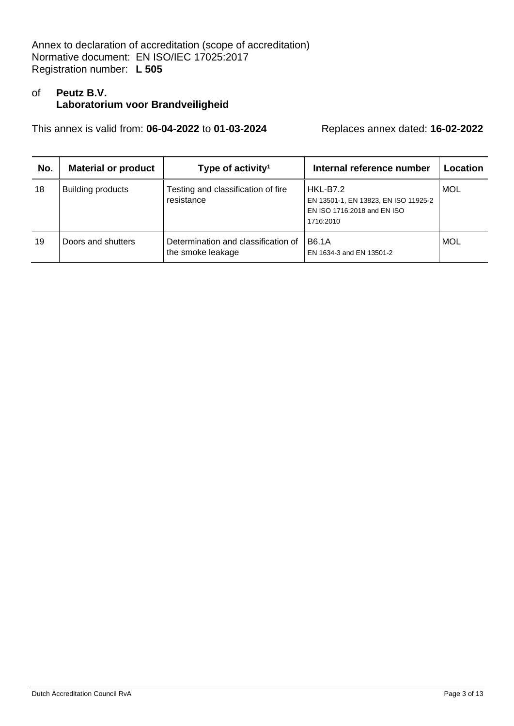# of **Peutz B.V. Laboratorium voor Brandveiligheid**

| No. | <b>Material or product</b> | Type of activity <sup>1</sup>                            | Internal reference number                                                                           | Location   |
|-----|----------------------------|----------------------------------------------------------|-----------------------------------------------------------------------------------------------------|------------|
| 18  | <b>Building products</b>   | Testing and classification of fire<br>resistance         | <b>HKL-B7.2</b><br>EN 13501-1, EN 13823, EN ISO 11925-2<br>EN ISO 1716:2018 and EN ISO<br>1716:2010 | MOL        |
| 19  | Doors and shutters         | Determination and classification of<br>the smoke leakage | <b>B6.1A</b><br>EN 1634-3 and EN 13501-2                                                            | <b>MOL</b> |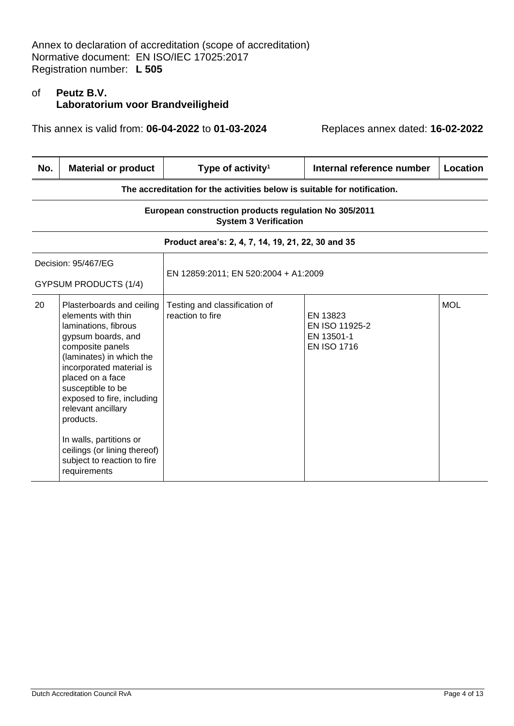# of **Peutz B.V. Laboratorium voor Brandveiligheid**

| No. | <b>Material or product</b>                                                                                                                                                                                                                                                                                                                                                                    | Type of activity <sup>1</sup>                                                         | Internal reference number                                      | Location   |  |
|-----|-----------------------------------------------------------------------------------------------------------------------------------------------------------------------------------------------------------------------------------------------------------------------------------------------------------------------------------------------------------------------------------------------|---------------------------------------------------------------------------------------|----------------------------------------------------------------|------------|--|
|     | The accreditation for the activities below is suitable for notification.                                                                                                                                                                                                                                                                                                                      |                                                                                       |                                                                |            |  |
|     |                                                                                                                                                                                                                                                                                                                                                                                               | European construction products regulation No 305/2011<br><b>System 3 Verification</b> |                                                                |            |  |
|     |                                                                                                                                                                                                                                                                                                                                                                                               | Product area's: 2, 4, 7, 14, 19, 21, 22, 30 and 35                                    |                                                                |            |  |
|     | Decision: 95/467/EG<br><b>GYPSUM PRODUCTS (1/4)</b>                                                                                                                                                                                                                                                                                                                                           | EN 12859:2011; EN 520:2004 + A1:2009                                                  |                                                                |            |  |
| 20  | Plasterboards and ceiling<br>elements with thin<br>laminations, fibrous<br>gypsum boards, and<br>composite panels<br>(laminates) in which the<br>incorporated material is<br>placed on a face<br>susceptible to be<br>exposed to fire, including<br>relevant ancillary<br>products.<br>In walls, partitions or<br>ceilings (or lining thereof)<br>subject to reaction to fire<br>requirements | Testing and classification of<br>reaction to fire                                     | EN 13823<br>EN ISO 11925-2<br>EN 13501-1<br><b>EN ISO 1716</b> | <b>MOL</b> |  |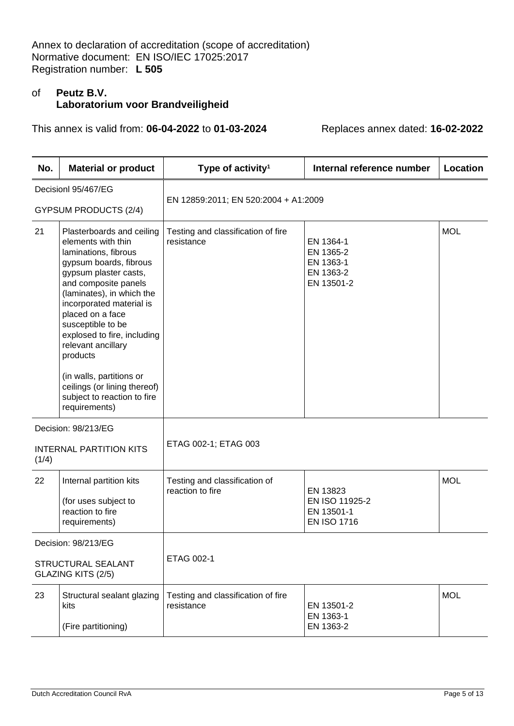# of **Peutz B.V. Laboratorium voor Brandveiligheid**

| No.   | <b>Material or product</b>                                                                                                                                                                                                                                                                                                                                                        | Type of activity <sup>1</sup>                     | Internal reference number                                      | Location   |
|-------|-----------------------------------------------------------------------------------------------------------------------------------------------------------------------------------------------------------------------------------------------------------------------------------------------------------------------------------------------------------------------------------|---------------------------------------------------|----------------------------------------------------------------|------------|
|       | Decisionl 95/467/EG                                                                                                                                                                                                                                                                                                                                                               |                                                   |                                                                |            |
|       | <b>GYPSUM PRODUCTS (2/4)</b>                                                                                                                                                                                                                                                                                                                                                      | EN 12859:2011; EN 520:2004 + A1:2009              |                                                                |            |
| 21    | Plasterboards and ceiling<br>elements with thin<br>laminations, fibrous<br>gypsum boards, fibrous<br>gypsum plaster casts,<br>and composite panels<br>(laminates), in which the<br>incorporated material is<br>placed on a face<br>susceptible to be<br>explosed to fire, including<br>relevant ancillary<br>products<br>(in walls, partitions or<br>ceilings (or lining thereof) | Testing and classification of fire<br>resistance  | EN 1364-1<br>EN 1365-2<br>EN 1363-1<br>EN 1363-2<br>EN 13501-2 | <b>MOL</b> |
|       | subject to reaction to fire<br>requirements)                                                                                                                                                                                                                                                                                                                                      |                                                   |                                                                |            |
|       | Decision: 98/213/EG                                                                                                                                                                                                                                                                                                                                                               |                                                   |                                                                |            |
| (1/4) | <b>INTERNAL PARTITION KITS</b>                                                                                                                                                                                                                                                                                                                                                    | ETAG 002-1; ETAG 003                              |                                                                |            |
| 22    | Internal partition kits                                                                                                                                                                                                                                                                                                                                                           | Testing and classification of<br>reaction to fire | EN 13823                                                       | <b>MOL</b> |
|       | (for uses subject to<br>reaction to fire<br>requirements)                                                                                                                                                                                                                                                                                                                         |                                                   | EN ISO 11925-2<br>EN 13501-1<br><b>EN ISO 1716</b>             |            |
|       | Decision: 98/213/EG                                                                                                                                                                                                                                                                                                                                                               |                                                   |                                                                |            |
|       | STRUCTURAL SEALANT<br>GLAZING KITS (2/5)                                                                                                                                                                                                                                                                                                                                          | ETAG 002-1                                        |                                                                |            |
| 23    | Structural sealant glazing<br>kits<br>(Fire partitioning)                                                                                                                                                                                                                                                                                                                         | Testing and classification of fire<br>resistance  | EN 13501-2<br>EN 1363-1<br>EN 1363-2                           | <b>MOL</b> |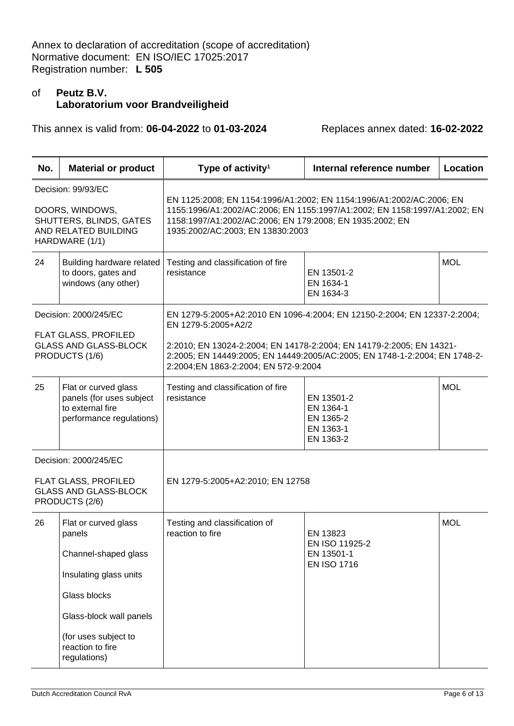# of **Peutz B.V. Laboratorium voor Brandveiligheid**

| No. | <b>Material or product</b>                                                                                 | Type of activity <sup>1</sup>                                                                                                                                                                                                                                                                 | Internal reference number                                      | Location   |
|-----|------------------------------------------------------------------------------------------------------------|-----------------------------------------------------------------------------------------------------------------------------------------------------------------------------------------------------------------------------------------------------------------------------------------------|----------------------------------------------------------------|------------|
|     | Decision: 99/93/EC<br>DOORS, WINDOWS,<br>SHUTTERS, BLINDS, GATES<br>AND RELATED BUILDING<br>HARDWARE (1/1) | EN 1125:2008; EN 1154:1996/A1:2002; EN 1154:1996/A1:2002/AC:2006; EN<br>1155:1996/A1:2002/AC:2006; EN 1155:1997/A1:2002; EN 1158:1997/A1:2002; EN<br>1158:1997/A1:2002/AC:2006; EN 179:2008; EN 1935:2002; EN<br>1935:2002/AC:2003; EN 13830:2003                                             |                                                                |            |
| 24  | Building hardware related<br>to doors, gates and<br>windows (any other)                                    | Testing and classification of fire<br>resistance                                                                                                                                                                                                                                              | EN 13501-2<br>EN 1634-1<br>EN 1634-3                           | <b>MOL</b> |
|     | Decision: 2000/245/EC<br>FLAT GLASS, PROFILED<br><b>GLASS AND GLASS-BLOCK</b><br>PRODUCTS (1/6)            | EN 1279-5:2005+A2:2010 EN 1096-4:2004; EN 12150-2:2004; EN 12337-2:2004;<br>EN 1279-5:2005+A2/2<br>2:2010; EN 13024-2:2004; EN 14178-2:2004; EN 14179-2:2005; EN 14321-<br>2:2005; EN 14449:2005; EN 14449:2005/AC:2005; EN 1748-1-2:2004; EN 1748-2-<br>2:2004;EN 1863-2:2004; EN 572-9:2004 |                                                                |            |
| 25  | Flat or curved glass<br>panels (for uses subject<br>to external fire<br>performance regulations)           | Testing and classification of fire<br>resistance                                                                                                                                                                                                                                              | EN 13501-2<br>EN 1364-1<br>EN 1365-2<br>EN 1363-1<br>EN 1363-2 | <b>MOL</b> |
|     | Decision: 2000/245/EC                                                                                      |                                                                                                                                                                                                                                                                                               |                                                                |            |
|     | FLAT GLASS, PROFILED<br><b>GLASS AND GLASS-BLOCK</b><br>PRODUCTS (2/6)                                     | EN 1279-5:2005+A2:2010; EN 12758                                                                                                                                                                                                                                                              |                                                                |            |
| 26  | Flat or curved glass<br>panels<br>Channel-shaped glass                                                     | Testing and classification of<br>reaction to fire                                                                                                                                                                                                                                             | EN 13823<br>EN ISO 11925-2<br>EN 13501-1<br><b>EN ISO 1716</b> | <b>MOL</b> |
|     | Insulating glass units                                                                                     |                                                                                                                                                                                                                                                                                               |                                                                |            |
|     | Glass blocks                                                                                               |                                                                                                                                                                                                                                                                                               |                                                                |            |
|     | Glass-block wall panels                                                                                    |                                                                                                                                                                                                                                                                                               |                                                                |            |
|     | (for uses subject to<br>reaction to fire<br>regulations)                                                   |                                                                                                                                                                                                                                                                                               |                                                                |            |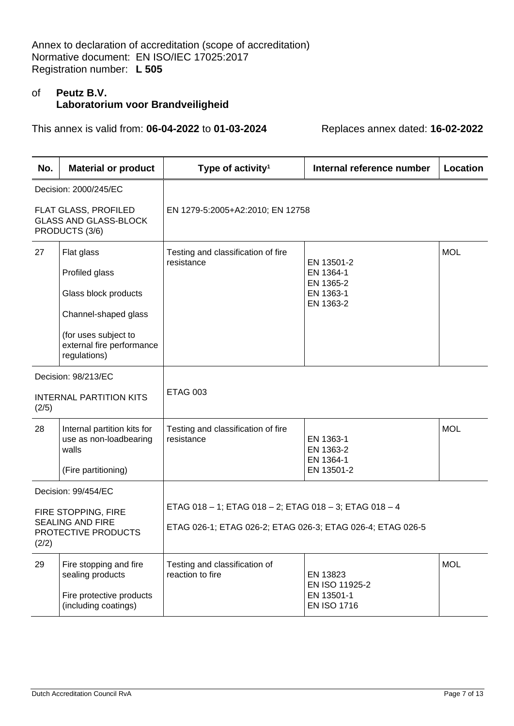# of **Peutz B.V. Laboratorium voor Brandveiligheid**

| No.                                                     | <b>Material or product</b>                                             | Type of activity <sup>1</sup>                              | Internal reference number           | <b>Location</b> |
|---------------------------------------------------------|------------------------------------------------------------------------|------------------------------------------------------------|-------------------------------------|-----------------|
|                                                         | Decision: 2000/245/EC                                                  |                                                            |                                     |                 |
|                                                         | FLAT GLASS, PROFILED<br><b>GLASS AND GLASS-BLOCK</b><br>PRODUCTS (3/6) | EN 1279-5:2005+A2:2010; EN 12758                           |                                     |                 |
| 27                                                      | Flat glass                                                             | Testing and classification of fire                         |                                     | <b>MOL</b>      |
|                                                         | Profiled glass                                                         | resistance<br>EN 13501-2<br>EN 1364-1                      |                                     |                 |
|                                                         | Glass block products                                                   |                                                            | EN 1365-2<br>EN 1363-1<br>EN 1363-2 |                 |
|                                                         | Channel-shaped glass                                                   |                                                            |                                     |                 |
|                                                         | (for uses subject to<br>external fire performance<br>regulations)      |                                                            |                                     |                 |
| Decision: 98/213/EC                                     |                                                                        |                                                            |                                     |                 |
| (2/5)                                                   | <b>INTERNAL PARTITION KITS</b>                                         | <b>ETAG 003</b>                                            |                                     |                 |
| 28                                                      | Internal partition kits for<br>use as non-loadbearing<br>walls         | Testing and classification of fire<br>resistance           | EN 1363-1<br>EN 1363-2<br>EN 1364-1 | <b>MOL</b>      |
|                                                         | (Fire partitioning)                                                    |                                                            | EN 13501-2                          |                 |
|                                                         | Decision: 99/454/EC                                                    |                                                            |                                     |                 |
|                                                         | FIRE STOPPING, FIRE                                                    | ETAG 018 - 1; ETAG 018 - 2; ETAG 018 - 3; ETAG 018 - 4     |                                     |                 |
| <b>SEALING AND FIRE</b><br>PROTECTIVE PRODUCTS<br>(2/2) |                                                                        | ETAG 026-1; ETAG 026-2; ETAG 026-3; ETAG 026-4; ETAG 026-5 |                                     |                 |
| 29                                                      | Fire stopping and fire<br>sealing products                             | Testing and classification of<br>reaction to fire          | EN 13823<br>EN ISO 11925-2          | <b>MOL</b>      |
|                                                         | Fire protective products<br>(including coatings)                       |                                                            | EN 13501-1<br><b>EN ISO 1716</b>    |                 |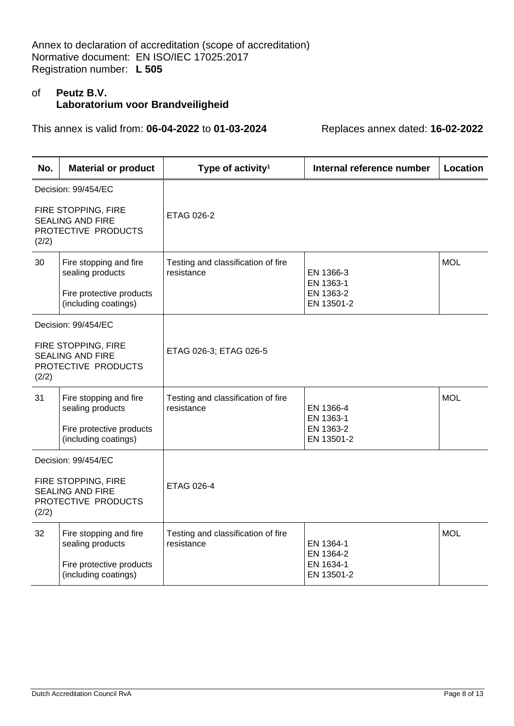#### of **Peutz B.V. Laboratorium voor Brandveiligheid**

| No.                                                                            | <b>Material or product</b>                                                                     | Type of activity <sup>1</sup>                    | Internal reference number                         | <b>Location</b> |
|--------------------------------------------------------------------------------|------------------------------------------------------------------------------------------------|--------------------------------------------------|---------------------------------------------------|-----------------|
|                                                                                | Decision: 99/454/EC                                                                            |                                                  |                                                   |                 |
| (2/2)                                                                          | FIRE STOPPING, FIRE<br><b>SEALING AND FIRE</b><br>PROTECTIVE PRODUCTS                          | ETAG 026-2                                       |                                                   |                 |
| 30                                                                             | Fire stopping and fire<br>sealing products<br>Fire protective products<br>(including coatings) | Testing and classification of fire<br>resistance | EN 1366-3<br>EN 1363-1<br>EN 1363-2<br>EN 13501-2 | <b>MOL</b>      |
|                                                                                | Decision: 99/454/EC                                                                            |                                                  |                                                   |                 |
| FIRE STOPPING, FIRE<br><b>SEALING AND FIRE</b><br>PROTECTIVE PRODUCTS<br>(2/2) |                                                                                                | ETAG 026-3; ETAG 026-5                           |                                                   |                 |
| 31                                                                             | Fire stopping and fire<br>sealing products<br>Fire protective products<br>(including coatings) | Testing and classification of fire<br>resistance | EN 1366-4<br>EN 1363-1<br>EN 1363-2<br>EN 13501-2 | <b>MOL</b>      |
|                                                                                | Decision: 99/454/EC                                                                            |                                                  |                                                   |                 |
| (2/2)                                                                          | FIRE STOPPING, FIRE<br><b>SEALING AND FIRE</b><br>PROTECTIVE PRODUCTS                          | ETAG 026-4                                       |                                                   |                 |
| 32                                                                             | Fire stopping and fire<br>sealing products<br>Fire protective products<br>(including coatings) | Testing and classification of fire<br>resistance | EN 1364-1<br>EN 1364-2<br>EN 1634-1<br>EN 13501-2 | <b>MOL</b>      |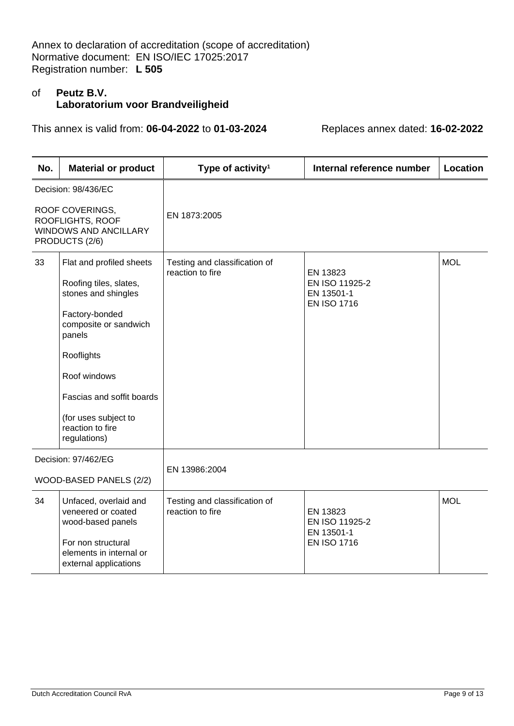# of **Peutz B.V. Laboratorium voor Brandveiligheid**

| No.                                                                                   | <b>Material or product</b>                                                                                                                          | Type of activity <sup>1</sup>                     | Internal reference number        | Location   |
|---------------------------------------------------------------------------------------|-----------------------------------------------------------------------------------------------------------------------------------------------------|---------------------------------------------------|----------------------------------|------------|
|                                                                                       | Decision: 98/436/EC                                                                                                                                 |                                                   |                                  |            |
| ROOF COVERINGS,<br>ROOFLIGHTS, ROOF<br><b>WINDOWS AND ANCILLARY</b><br>PRODUCTS (2/6) |                                                                                                                                                     | EN 1873:2005                                      |                                  |            |
| 33                                                                                    | Flat and profiled sheets<br>Roofing tiles, slates,                                                                                                  | Testing and classification of<br>reaction to fire | EN 13823<br>EN ISO 11925-2       | <b>MOL</b> |
|                                                                                       | stones and shingles                                                                                                                                 |                                                   | EN 13501-1<br><b>EN ISO 1716</b> |            |
|                                                                                       | Factory-bonded<br>composite or sandwich<br>panels                                                                                                   |                                                   |                                  |            |
|                                                                                       | Rooflights                                                                                                                                          |                                                   |                                  |            |
|                                                                                       | Roof windows                                                                                                                                        |                                                   |                                  |            |
|                                                                                       | Fascias and soffit boards                                                                                                                           |                                                   |                                  |            |
|                                                                                       | (for uses subject to<br>reaction to fire<br>regulations)                                                                                            |                                                   |                                  |            |
|                                                                                       | Decision: 97/462/EG                                                                                                                                 |                                                   |                                  |            |
|                                                                                       | WOOD-BASED PANELS (2/2)                                                                                                                             | EN 13986:2004                                     |                                  |            |
| 34                                                                                    | Unfaced, overlaid and<br>Testing and classification of<br>reaction to fire<br>veneered or coated<br>EN 13823<br>wood-based panels<br>EN ISO 11925-2 |                                                   | <b>MOL</b>                       |            |
|                                                                                       | For non structural<br>elements in internal or<br>external applications                                                                              |                                                   | EN 13501-1<br><b>EN ISO 1716</b> |            |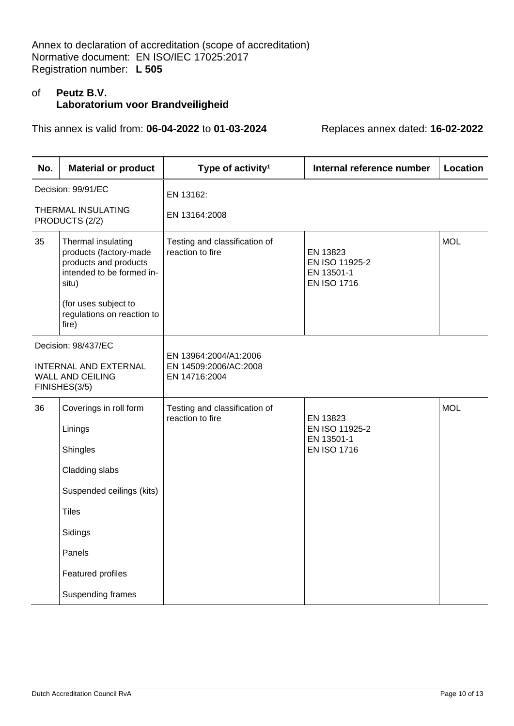# of **Peutz B.V. Laboratorium voor Brandveiligheid**

| No.                                                                                             | <b>Material or product</b>                                                                                                          | Type of activity <sup>1</sup>                                   | Internal reference number                                      | Location   |
|-------------------------------------------------------------------------------------------------|-------------------------------------------------------------------------------------------------------------------------------------|-----------------------------------------------------------------|----------------------------------------------------------------|------------|
|                                                                                                 | Decision: 99/91/EC                                                                                                                  | EN 13162:                                                       |                                                                |            |
|                                                                                                 | THERMAL INSULATING<br>PRODUCTS (2/2)                                                                                                | EN 13164:2008                                                   |                                                                |            |
| 35                                                                                              | Thermal insulating<br>products (factory-made<br>products and products<br>intended to be formed in-<br>situ)<br>(for uses subject to | Testing and classification of<br>reaction to fire               | EN 13823<br>EN ISO 11925-2<br>EN 13501-1<br><b>EN ISO 1716</b> | <b>MOL</b> |
|                                                                                                 | regulations on reaction to<br>fire)                                                                                                 |                                                                 |                                                                |            |
| Decision: 98/437/EC<br><b>INTERNAL AND EXTERNAL</b><br><b>WALL AND CEILING</b><br>FINISHES(3/5) |                                                                                                                                     |                                                                 |                                                                |            |
|                                                                                                 |                                                                                                                                     | EN 13964:2004/A1:2006<br>EN 14509:2006/AC:2008<br>EN 14716:2004 |                                                                |            |
| 36                                                                                              | Coverings in roll form                                                                                                              | Testing and classification of<br>reaction to fire               | EN 13823                                                       | <b>MOL</b> |
|                                                                                                 | Linings                                                                                                                             |                                                                 | EN ISO 11925-2<br>EN 13501-1<br><b>EN ISO 1716</b>             |            |
|                                                                                                 | Shingles                                                                                                                            |                                                                 |                                                                |            |
|                                                                                                 | Cladding slabs                                                                                                                      |                                                                 |                                                                |            |
|                                                                                                 | Suspended ceilings (kits)                                                                                                           |                                                                 |                                                                |            |
|                                                                                                 | <b>Tiles</b>                                                                                                                        |                                                                 |                                                                |            |
|                                                                                                 | Sidings                                                                                                                             |                                                                 |                                                                |            |
|                                                                                                 | Panels                                                                                                                              |                                                                 |                                                                |            |
|                                                                                                 | <b>Featured profiles</b>                                                                                                            |                                                                 |                                                                |            |
|                                                                                                 | Suspending frames                                                                                                                   |                                                                 |                                                                |            |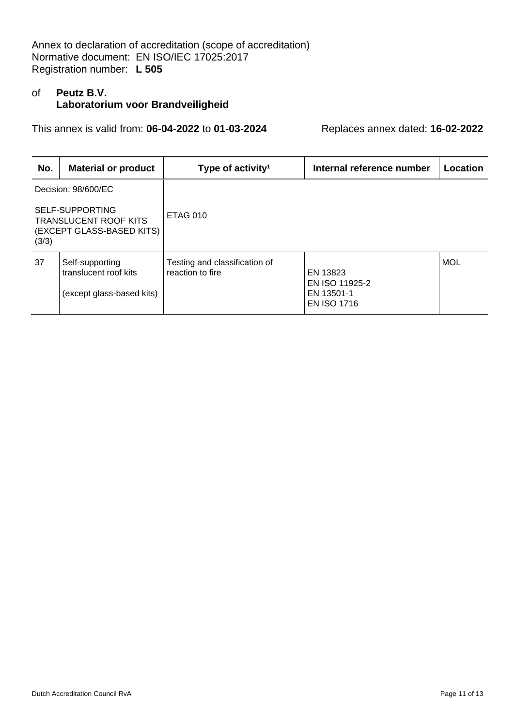# of **Peutz B.V. Laboratorium voor Brandveiligheid**

| No.                                                                                   | <b>Material or product</b>                                            | Type of activity <sup>1</sup>                     | Internal reference number                                      | Location   |
|---------------------------------------------------------------------------------------|-----------------------------------------------------------------------|---------------------------------------------------|----------------------------------------------------------------|------------|
| Decision: 98/600/EC                                                                   |                                                                       |                                                   |                                                                |            |
| SELF-SUPPORTING<br><b>TRANSLUCENT ROOF KITS</b><br>(EXCEPT GLASS-BASED KITS)<br>(3/3) |                                                                       | <b>ETAG 010</b>                                   |                                                                |            |
| 37                                                                                    | Self-supporting<br>translucent roof kits<br>(except glass-based kits) | Testing and classification of<br>reaction to fire | EN 13823<br>EN ISO 11925-2<br>EN 13501-1<br><b>EN ISO 1716</b> | <b>MOL</b> |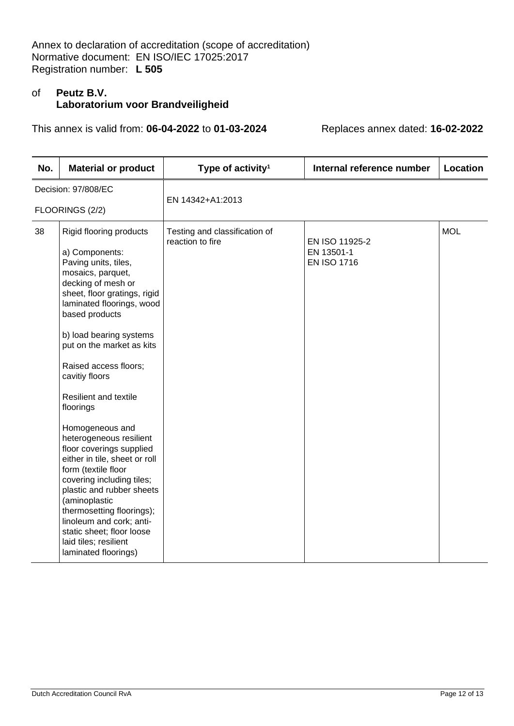# of **Peutz B.V. Laboratorium voor Brandveiligheid**

| No.                 | <b>Material or product</b>                                                                                                                                                                                                                                                                                                                                                                                                                                                                                                                                                                                                                                                                      | Type of activity <sup>1</sup>                     | Internal reference number                          | Location   |  |
|---------------------|-------------------------------------------------------------------------------------------------------------------------------------------------------------------------------------------------------------------------------------------------------------------------------------------------------------------------------------------------------------------------------------------------------------------------------------------------------------------------------------------------------------------------------------------------------------------------------------------------------------------------------------------------------------------------------------------------|---------------------------------------------------|----------------------------------------------------|------------|--|
| Decision: 97/808/EC |                                                                                                                                                                                                                                                                                                                                                                                                                                                                                                                                                                                                                                                                                                 | EN 14342+A1:2013                                  |                                                    |            |  |
| FLOORINGS (2/2)     |                                                                                                                                                                                                                                                                                                                                                                                                                                                                                                                                                                                                                                                                                                 |                                                   |                                                    |            |  |
| 38                  | Rigid flooring products<br>a) Components:<br>Paving units, tiles,<br>mosaics, parquet,<br>decking of mesh or<br>sheet, floor gratings, rigid<br>laminated floorings, wood<br>based products<br>b) load bearing systems<br>put on the market as kits<br>Raised access floors;<br>cavitiy floors<br><b>Resilient and textile</b><br>floorings<br>Homogeneous and<br>heterogeneous resilient<br>floor coverings supplied<br>either in tile, sheet or roll<br>form (textile floor<br>covering including tiles;<br>plastic and rubber sheets<br>(aminoplastic<br>thermosetting floorings);<br>linoleum and cork; anti-<br>static sheet; floor loose<br>laid tiles; resilient<br>laminated floorings) | Testing and classification of<br>reaction to fire | EN ISO 11925-2<br>EN 13501-1<br><b>EN ISO 1716</b> | <b>MOL</b> |  |